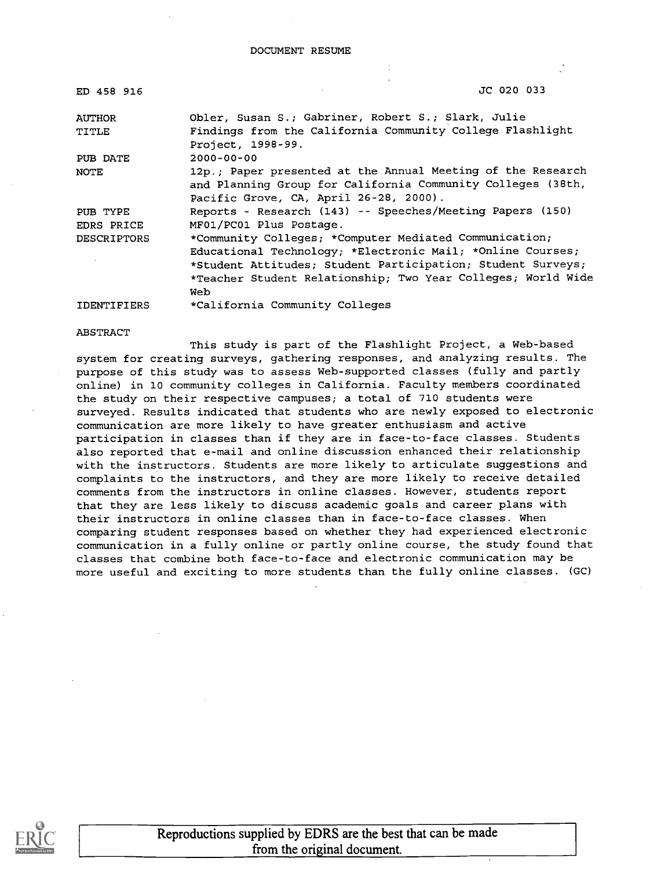| ED 458 916         | JC 020 033                                                                                                                                                                                       |
|--------------------|--------------------------------------------------------------------------------------------------------------------------------------------------------------------------------------------------|
| <b>AUTHOR</b>      | Obler, Susan S.; Gabriner, Robert S.; Slark, Julie                                                                                                                                               |
| TITLE              | Findings from the California Community College Flashlight<br>Project, 1998-99.                                                                                                                   |
| PUB DATE           | $2000 - 00 - 00$                                                                                                                                                                                 |
| NOTE               | 12p.; Paper presented at the Annual Meeting of the Research<br>and Planning Group for California Community Colleges (38th,<br>Pacific Grove, CA, April 26-28, 2000).                             |
| PUB TYPE           | Reports - Research (143) -- Speeches/Meeting Papers (150)                                                                                                                                        |
| EDRS PRICE         | MF01/PC01 Plus Postage.                                                                                                                                                                          |
| <b>DESCRIPTORS</b> | *Community Colleges; *Computer Mediated Communication;                                                                                                                                           |
|                    | Educational Technology; *Electronic Mail; *Online Courses;<br>*Student Attitudes; Student Participation; Student Surveys;<br>*Teacher Student Relationship; Two Year Colleges; World Wide<br>Web |
| <b>IDENTIFIERS</b> | *California Community Colleges                                                                                                                                                                   |

ABSTRACT

This study is part of the Flashlight Project, a Web-based system for creating surveys, gathering responses, and analyzing results. The purpose of this study was to assess Web-supported classes (fully and partly online) in 10 community colleges in California. Faculty members coordinated the study on their respective campuses; a total of 710 students were surveyed. Results indicated that students who are newly exposed to electronic communication are more likely to have greater enthusiasm and active participation in classes than if they are in face-to-face classes. Students also reported that e-mail and online discussion enhanced their relationship with the instructors. Students are more likely to articulate suggestions and complaints to the instructors, and they are more likely to receive detailed comments from the instructors in online classes. However, students report that they are less likely to discuss academic goals and career plans with their instructors in online classes than in face-to-face classes. When comparing student responses based on whether they had experienced electronic communication in a fully online or partly online course, the study found that classes that combine both face-to-face and electronic communication may be more useful and exciting to more students than the fully online classes. (GC)



Reproductions supplied by EDRS are the best that can be made from the original document.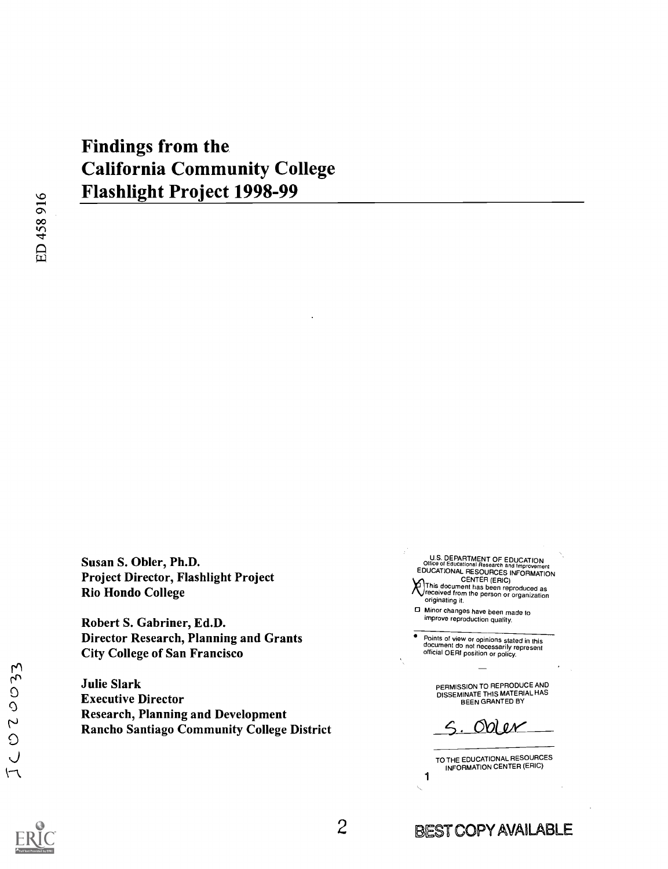# Findings from the California Community College Flashlight Project 1998-99

ED458916

Susan S. Obler, Ph.D. Project Director, Flashlight Project Rio Hondo College

Robert S. Gabriner, Ed.D. Director Research, Planning and Grants City College of San Francisco

Julie Slark Executive Director Research, Planning and Development Rancho Santiago Community College District

U.S. DEPARTMENT OF EDUCATION<br>Office of Educational Research and Improvement<br>EDUCATIONAL RESOURCES INFORMATION  $\mathcal{R}$  This document has been reproduced as<br>received from the person or organization originating it.

0 Minor changes have been made to improve reproduction quality.

Points of view or opinions stated in this document do not necessarily represent official OERI position or policy.

PERMISSION TO REPRODUCE AND DISSEMINATE THIS MATERIAL HAS BEEN GRANTED BY

Obi e*r* 

TO THE EDUCATIONAL RESOURCES INFORMATION CENTER (ERIC)

1

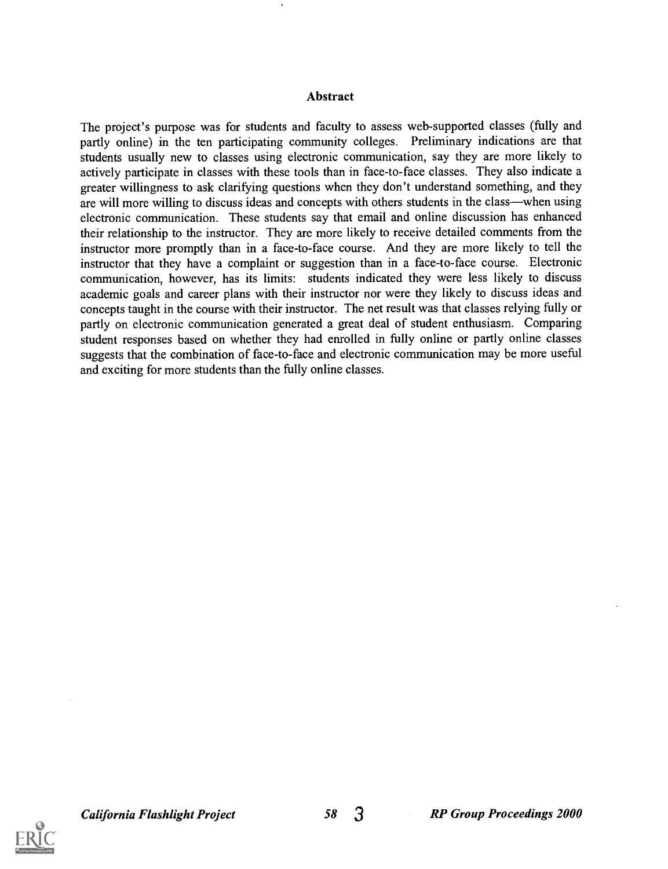#### Abstract

The project's purpose was for students and faculty to assess web-supported classes (fully and partly online) in the ten participating community colleges. Preliminary indications are that students usually new to classes using electronic communication, say they are more likely to actively participate in classes with these tools than in face-to-face classes. They also indicate a greater willingness to ask clarifying questions when they don't understand something, and they are will more willing to discuss ideas and concepts with others students in the class—when using electronic communication. These students say that email and online discussion has enhanced their relationship to the instructor. They are more likely to receive detailed comments from the instructor more promptly than in a face-to-face course. And they are more likely to tell the instructor that they have a complaint or suggestion than in a face-to-face course. Electronic communication, however, has its limits: students indicated they were less likely to discuss academic goals and career plans with their instructor nor were they likely to discuss ideas and concepts taught in the course with their instructor. The net result was that classes relying fully or partly on electronic communication generated a great deal of student enthusiasm. Comparing student responses based on whether they had enrolled in fully online or partly online classes suggests that the combination of face-to-face and electronic communication may be more useful and exciting for more students than the fully online classes.

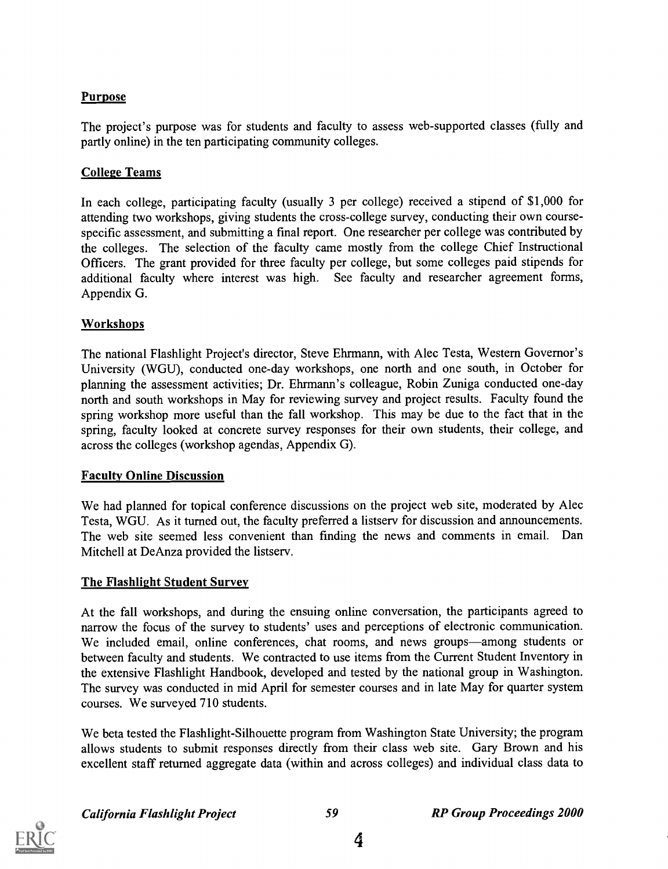#### Purpose

The project's purpose was for students and faculty to assess web-supported classes (fully and partly online) in the ten participating community colleges.

#### College Teams

In each college, participating faculty (usually 3 per college) received a stipend of \$1,000 for attending two workshops, giving students the cross-college survey, conducting their own coursespecific assessment, and submitting a final report. One researcher per college was contributed by the colleges. The selection of the faculty came mostly from the college Chief Instructional Officers. The grant provided for three faculty per college, but some colleges paid stipends for additional faculty where interest was high. See faculty and researcher agreement forms, Appendix G.

#### **Workshops**

The national Flashlight Project's director, Steve Ehrmann, with Alec Testa, Western Governor's University (WGU), conducted one-day workshops, one north and one south, in October for planning the assessment activities; Dr. Ehrmann's colleague, Robin Zuniga conducted one-day north and south workshops in May for reviewing survey and project results. Faculty found the spring workshop more useful than the fall workshop. This may be due to the fact that in the spring, faculty looked at concrete survey responses for their own students, their college, and across the colleges (workshop agendas, Appendix G).

#### Faculty Online Discussion

We had planned for topical conference discussions on the project web site, moderated by Alec Testa, WGU. As it turned out, the faculty preferred a listserv for discussion and announcements. The web site seemed less convenient than finding the news and comments in email. Dan Mitchell at DeAnza provided the listserv.

#### The Flashlight Student Survey

At the fall workshops, and during the ensuing online conversation, the participants agreed to narrow the focus of the survey to students' uses and perceptions of electronic communication. We included email, online conferences, chat rooms, and news groups—among students or between faculty and students. We contracted to use items from the Current Student Inventory in the extensive Flashlight Handbook, developed and tested by the national group in Washington. The survey was conducted in mid April for semester courses and in late May for quarter system courses. We surveyed 710 students.

We beta tested the Flashlight-Silhouette program from Washington State University; the program allows students to submit responses directly from their class web site. Gary Brown and his excellent staff returned aggregate data (within and across colleges) and individual class data to

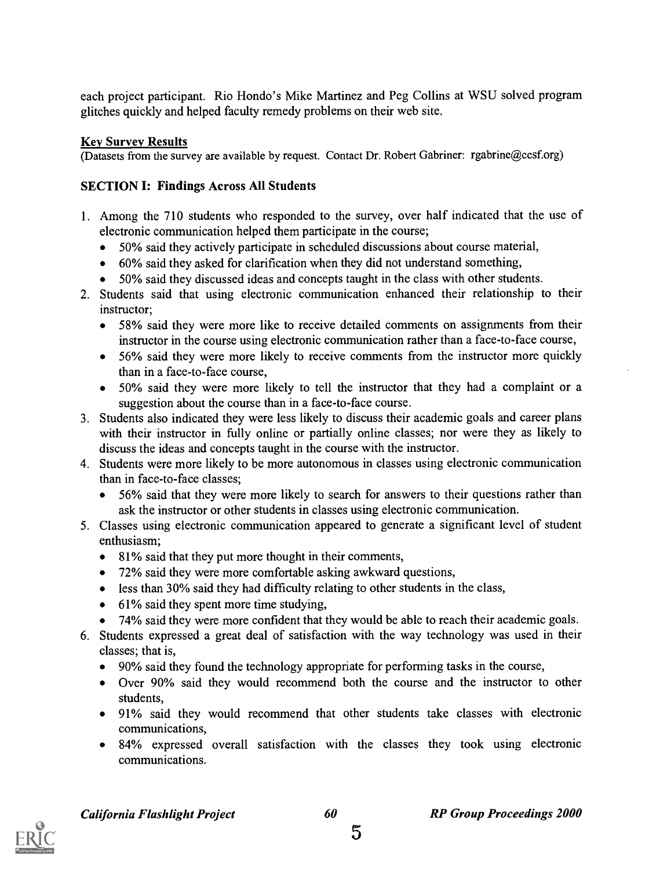each project participant. Rio Hondo's Mike Martinez and Peg Collins at WSU solved program glitches quickly and helped faculty remedy problems on their web site.

#### Key Survey Results

(Datasets from the survey are available by request. Contact Dr. Robert Gabriner: rgabrine@ccsf.org)

### SECTION I: Findings Across All Students

- 1. Among the 710 students who responded to the survey, over half indicated that the use of electronic communication helped them participate in the course;
	- 50% said they actively participate in scheduled discussions about course material,
	- 60% said they asked for clarification when they did not understand something,
	- 50% said they discussed ideas and concepts taught in the class with other students.
- 2. Students said that using electronic communication enhanced their relationship to their instructor;
	- 58% said they were more like to receive detailed comments on assignments from their instructor in the course using electronic communication rather than a face-to-face course,
	- 56% said they were more likely to receive comments from the instructor more quickly than in a face-to-face course,
	- 50% said they were more likely to tell the instructor that they had a complaint or a suggestion about the course than in a face-to-face course.
- 3. Students also indicated they were less likely to discuss their academic goals and career plans with their instructor in fully online or partially online classes; nor were they as likely to discuss the ideas and concepts taught in the course with the instructor.
- 4. Students were more likely to be more autonomous in classes using electronic communication than in face-to-face classes;
	- 56% said that they were more likely to search for answers to their questions rather than ask the instructor or other students in classes using electronic communication.
- 5. Classes using electronic communication appeared to generate a significant level of student enthusiasm;
	- 81% said that they put more thought in their comments,
	- 72% said they were more comfortable asking awkward questions,
	- less than 30% said they had difficulty relating to other students in the class,
	- $\bullet$  61% said they spent more time studying,
	- 74% said they were more confident that they would be able to reach their academic goals.
- 6. Students expressed a great deal of satisfaction with the way technology was used in their classes; that is,
	- 90% said they found the technology appropriate for performing tasks in the course,
	- Over 90% said they would recommend both the course and the instructor to other students,
	- 91% said they would recommend that other students take classes with electronic communications,
	- 84% expressed overall satisfaction with the classes they took using electronic communications.

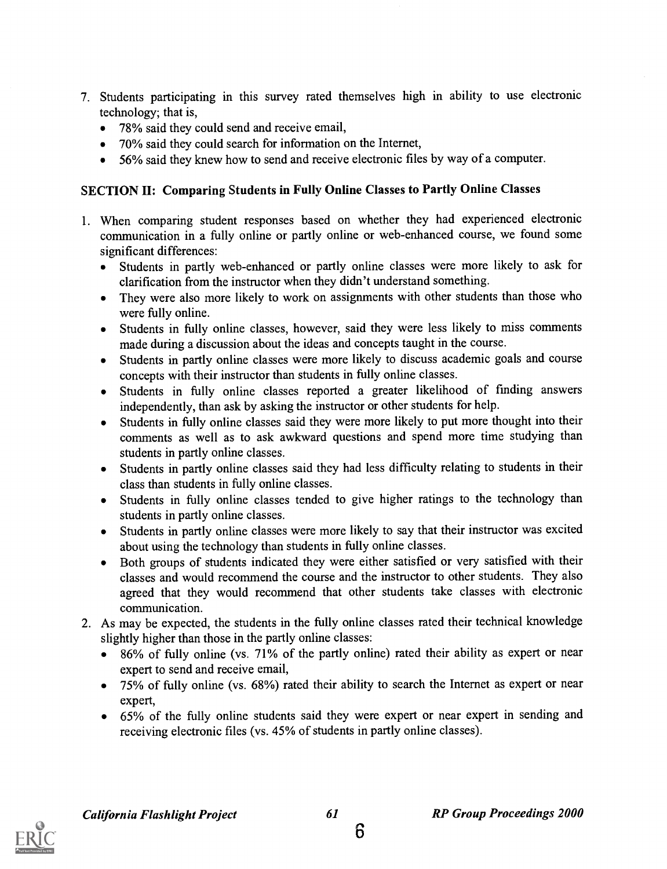- 7. Students participating in this survey rated themselves high in ability to use electronic technology; that is,
	- 78% said they could send and receive email,
	- 70% said they could search for information on the Internet,
	- 56% said they knew how to send and receive electronic files by way of a computer.

#### SECTION II: Comparing Students in Fully Online Classes to Partly Online Classes

- 1. When comparing student responses based on whether they had experienced electronic communication in a fully online or partly online or web-enhanced course, we found some significant differences:
	- Students in partly web-enhanced or partly online classes were more likely to ask for clarification from the instructor when they didn't understand something.
	- They were also more likely to work on assignments with other students than those who were fully online.
	- Students in fully online classes, however, said they were less likely to miss comments made during a discussion about the ideas and concepts taught in the course.
	- Students in partly online classes were more likely to discuss academic goals and course concepts with their instructor than students in fully online classes.
	- Students in fully online classes reported a greater likelihood of finding answers independently, than ask by asking the instructor or other students for help.
	- Students in fully online classes said they were more likely to put more thought into their comments as well as to ask awkward questions and spend more time studying than students in partly online classes.
	- Students in partly online classes said they had less difficulty relating to students in their class than students in fully online classes.
	- Students in fully online classes tended to give higher ratings to the technology than students in partly online classes.
	- Students in partly online classes were more likely to say that their instructor was excited about using the technology than students in fully online classes.
	- Both groups of students indicated they were either satisfied or very satisfied with their classes and would recommend the course and the instructor to other students. They also agreed that they would recommend that other students take classes with electronic communication.
- 2. As may be expected, the students in the fully online classes rated their technical knowledge slightly higher than those in the partly online classes:
	- 86% of fully online (vs. 71% of the partly online) rated their ability as expert or near expert to send and receive email,
	- 75% of fully online (vs. 68%) rated their ability to search the Internet as expert or near expert,
	- 65% of the fully online students said they were expert or near expert in sending and receiving electronic files (vs. 45% of students in partly online classes).

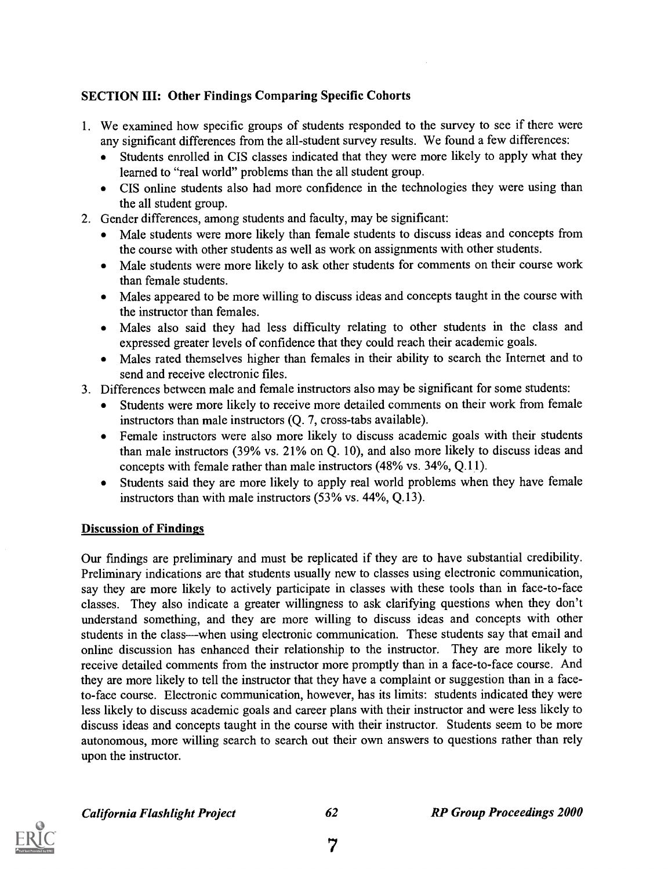#### SECTION III: Other Findings Comparing Specific Cohorts

- 1. We examined how specific groups of students responded to the survey to see if there were any significant differences from the all-student survey results. We found a few differences:
	- Students enrolled in CIS classes indicated that they were more likely to apply what they learned to "real world" problems than the all student group.
	- CIS online students also had more confidence in the technologies they were using than the all student group.
- 2. Gender differences, among students and faculty, may be significant:
	- Male students were more likely than female students to discuss ideas and concepts from the course with other students as well as work on assignments with other students.
	- Male students were more likely to ask other students for comments on their course work than female students.
	- Males appeared to be more willing to discuss ideas and concepts taught in the course with the instructor than females.
	- Males also said they had less difficulty relating to other students in the class and expressed greater levels of confidence that they could reach their academic goals.
	- Males rated themselves higher than females in their ability to search the Internet and to send and receive electronic files.
- 3. Differences between male and female instructors also may be significant for some students:
	- Students were more likely to receive more detailed comments on their work from female instructors than male instructors (Q. 7, cross-tabs available).
	- Female instructors were also more likely to discuss academic goals with their students than male instructors (39% vs. 21% on Q. 10), and also more likely to discuss ideas and concepts with female rather than male instructors (48% vs. 34%, Q.11).
	- Students said they are more likely to apply real world problems when they have female  $\bullet$ instructors than with male instructors (53% vs. 44%, Q.13).

#### Discussion of Findings

Our findings are preliminary and must be replicated if they are to have substantial credibility. Preliminary indications are that students usually new to classes using electronic communication, say they are more likely to actively participate in classes with these tools than in face-to-face classes. They also indicate a greater willingness to ask clarifying questions when they don't understand something, and they are more willing to discuss ideas and concepts with other students in the class—when using electronic communication. These students say that email and online discussion has enhanced their relationship to the instructor. They are more likely to receive detailed comments from the instructor more promptly than in a face-to-face course. And they are more likely to tell the instructor that they have a complaint or suggestion than in a faceto-face course. Electronic communication, however, has its limits: students indicated they were less likely to discuss academic goals and career plans with their instructor and were less likely to discuss ideas and concepts taught in the course with their instructor. Students seem to be more autonomous, more willing search to search out their own answers to questions rather than rely upon the instructor.

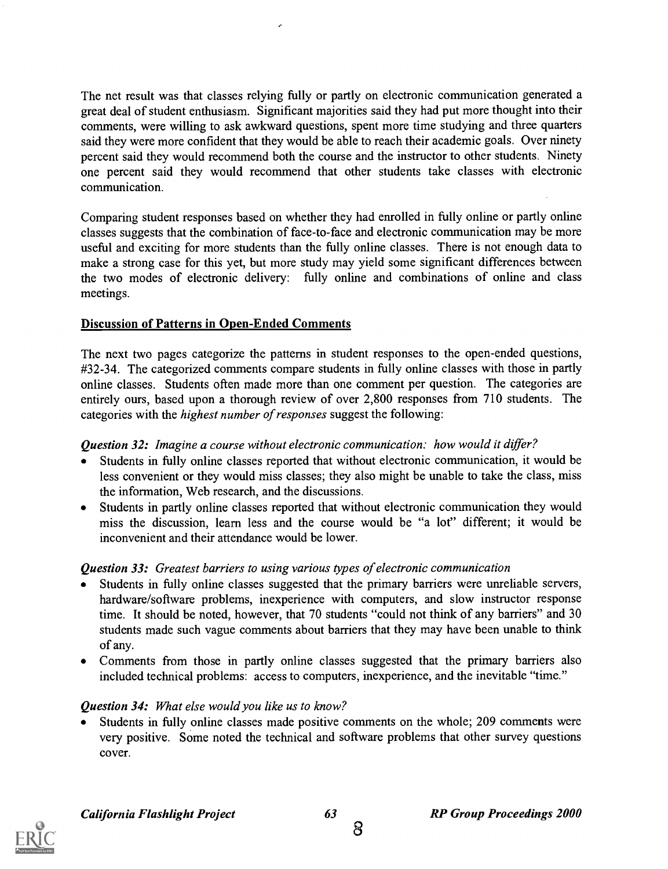The net result was that classes relying fully or partly on electronic communication generated a great deal of student enthusiasm. Significant majorities said they had put more thought into their comments, were willing to ask awkward questions, spent more time studying and three quarters said they were more confident that they would be able to reach their academic goals. Over ninety percent said they would recommend both the course and the instructor to other students. Ninety one percent said they would recommend that other students take classes with electronic communication.

Comparing student responses based on whether they had enrolled in fully online or partly online classes suggests that the combination of face-to-face and electronic communication may be more useful and exciting for more students than the fully online classes. There is not enough data to make a strong case for this yet, but more study may yield some significant differences between the two modes of electronic delivery: fully online and combinations of online and class meetings.

#### Discussion of Patterns in Open-Ended Comments

The next two pages categorize the patterns in student responses to the open-ended questions, #32-34. The categorized comments compare students in fully online classes with those in partly online classes. Students often made more than one comment per question. The categories are entirely ours, based upon a thorough review of over 2,800 responses from 710 students. The categories with the highest number of responses suggest the following:

#### Question 32: Imagine a course without electronic communication: how would it differ?

- Students in fully online classes reported that without electronic communication, it would be less convenient or they would miss classes; they also might be unable to take the class, miss the information, Web research, and the discussions.
- Students in partly online classes reported that without electronic communication they would miss the discussion, learn less and the course would be "a lot" different; it would be inconvenient and their attendance would be lower.

#### Question 33: Greatest barriers to using various types of electronic communication

- Students in fully online classes suggested that the primary barriers were unreliable servers,  $\bullet$ hardware/software problems, inexperience with computers, and slow instructor response time. It should be noted, however, that 70 students "could not think of any barriers" and 30 students made such vague comments about barriers that they may have been unable to think of any.
- Comments from those in partly online classes suggested that the primary barriers also included technical problems: access to computers, inexperience, and the inevitable "time."

#### Question 34: What else would you like us to know?

Students in fully online classes made positive comments on the whole; 209 comments were very positive. Some noted the technical and software problems that other survey questions cover.

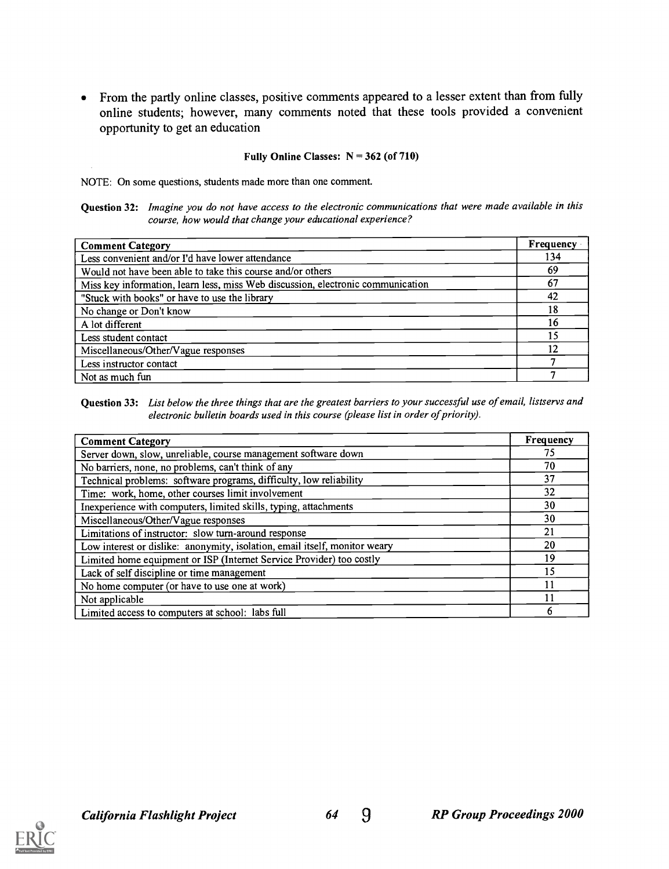From the partly online classes, positive comments appeared to a lesser extent than from fully online students; however, many comments noted that these tools provided a convenient opportunity to get an education

#### Fully Online Classes:  $N = 362$  (of 710)

NOTE: On some questions, students made more than one comment.

Question 32: Imagine you do not have access to the electronic communications that were made available in this course, how would that change your educational experience?

| <b>Comment Category</b>                                                         | Frequency |
|---------------------------------------------------------------------------------|-----------|
| Less convenient and/or I'd have lower attendance                                | 134       |
| Would not have been able to take this course and/or others                      | 69        |
| Miss key information, learn less, miss Web discussion, electronic communication | 67        |
| "Stuck with books" or have to use the library                                   | 42        |
| No change or Don't know                                                         | 18        |
| A lot different                                                                 | 16        |
| Less student contact                                                            |           |
| Miscellaneous/Other/Vague responses                                             | 12        |
| Less instructor contact                                                         |           |
| Not as much fun                                                                 |           |

Question 33: List below the three things that are the greatest barriers to your successful use of email, listservs and electronic bulletin boards used in this course (please list in order of priority).

| <b>Comment Category</b>                                                    | Frequency |
|----------------------------------------------------------------------------|-----------|
| Server down, slow, unreliable, course management software down             | 75        |
| No barriers, none, no problems, can't think of any                         | 70        |
| Technical problems: software programs, difficulty, low reliability         | 37        |
| Time: work, home, other courses limit involvement                          | 32        |
| Inexperience with computers, limited skills, typing, attachments           | 30        |
| Miscellaneous/Other/Vague responses                                        | 30        |
| Limitations of instructor: slow turn-around response                       | 21        |
| Low interest or dislike: anonymity, isolation, email itself, monitor weary | 20        |
| Limited home equipment or ISP (Internet Service Provider) too costly       | 19        |
| Lack of self discipline or time management                                 | 15        |
| No home computer (or have to use one at work)                              | 11        |
| Not applicable                                                             | 11        |
| Limited access to computers at school: labs full                           |           |

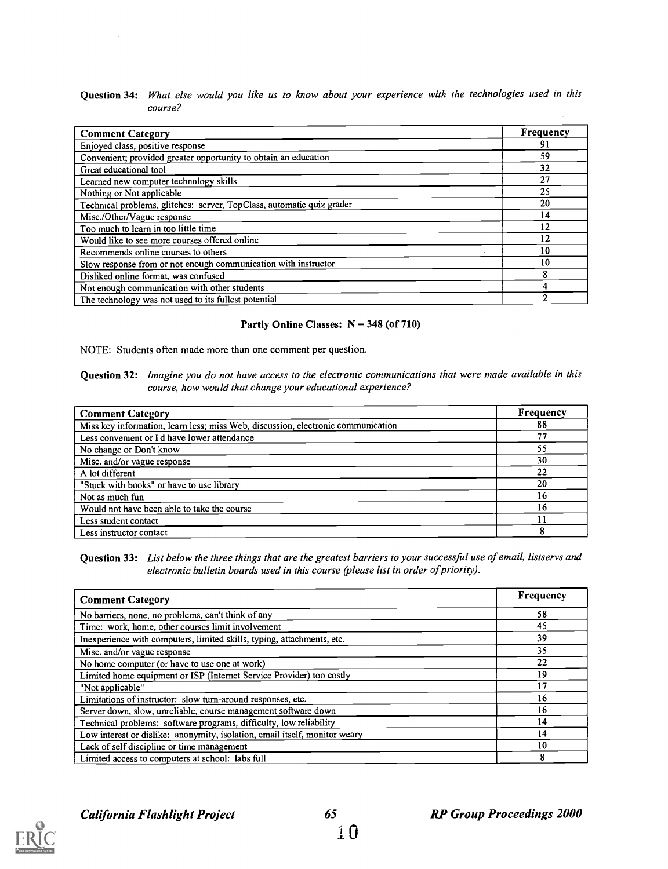Question 34: What else would you like us to know about your experience with the technologies used in this course?

| <b>Comment Category</b>                                               | <b>Frequency</b> |
|-----------------------------------------------------------------------|------------------|
| Enjoyed class, positive response                                      | 91               |
| Convenient; provided greater opportunity to obtain an education       | 59               |
| Great educational tool                                                | 32               |
| Learned new computer technology skills                                | 27               |
| Nothing or Not applicable                                             | 25               |
| Technical problems, glitches: server, TopClass, automatic quiz grader | 20               |
| Misc./Other/Vague response                                            | 14               |
| Too much to learn in too little time                                  | 12               |
| Would like to see more courses offered online                         | 12               |
| Recommends online courses to others                                   | 10               |
| Slow response from or not enough communication with instructor        | 10               |
| Disliked online format, was confused                                  | 8                |
| Not enough communication with other students                          |                  |
| The technology was not used to its fullest potential                  |                  |

#### Partly Online Classes: N = 348 (of 710)

NOTE: Students often made more than one comment per question.

Question 32: Imagine you do not have access to the electronic communications that were made available in this course, how would that change your educational experience?

| <b>Comment Category</b>                                                          | Frequency |
|----------------------------------------------------------------------------------|-----------|
| Miss key information, learn less; miss Web, discussion, electronic communication | 88        |
| Less convenient or I'd have lower attendance                                     | 77        |
| No change or Don't know                                                          | 55        |
| Misc. and/or vague response                                                      | 30        |
| A lot different                                                                  | 22        |
| "Stuck with books" or have to use library                                        | 20        |
| Not as much fun                                                                  | 16        |
| Would not have been able to take the course                                      | 16        |
| Less student contact                                                             |           |
| Less instructor contact                                                          |           |

Question 33: List below the three things that are the greatest barriers to your successful use of email, listservs and electronic bulletin boards used in this course (please list in order of priority).

| <b>Comment Category</b>                                                    | Frequency |  |
|----------------------------------------------------------------------------|-----------|--|
| No barriers, none, no problems, can't think of any                         | 58        |  |
| Time: work, home, other courses limit involvement                          | 45        |  |
| Inexperience with computers, limited skills, typing, attachments, etc.     | 39        |  |
| Misc. and/or vague response                                                | 35        |  |
| No home computer (or have to use one at work)                              | 22        |  |
| Limited home equipment or ISP (Internet Service Provider) too costly       | 19        |  |
| "Not applicable"                                                           | 17        |  |
| Limitations of instructor: slow turn-around responses, etc.                | 16        |  |
| Server down, slow, unreliable, course management software down             | 16        |  |
| Technical problems: software programs, difficulty, low reliability         | 14        |  |
| Low interest or dislike: anonymity, isolation, email itself, monitor weary | 14        |  |
| Lack of self discipline or time management                                 | 10        |  |
| Limited access to computers at school: labs full                           | 8         |  |

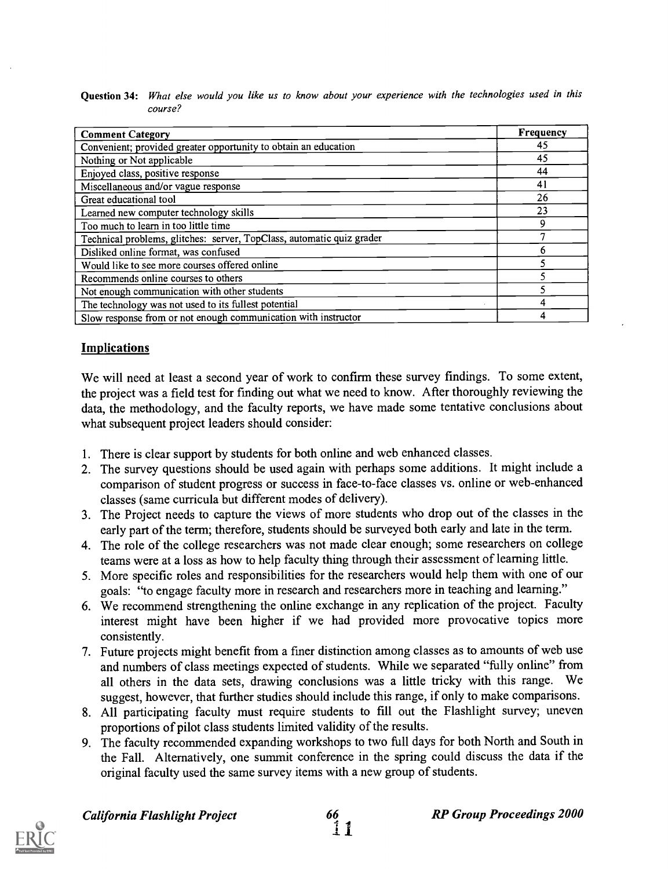| Question 34: What else would you like us to know about your experience with the technologies used in this |
|-----------------------------------------------------------------------------------------------------------|
| course?                                                                                                   |

| <b>Comment Category</b>                                               | <b>Frequency</b> |
|-----------------------------------------------------------------------|------------------|
| Convenient; provided greater opportunity to obtain an education       | 45               |
| Nothing or Not applicable                                             | 45               |
| Enjoyed class, positive response                                      | 44               |
| Miscellaneous and/or vague response                                   | 41               |
| Great educational tool                                                | 26               |
| Learned new computer technology skills                                | 23               |
| Too much to learn in too little time                                  | 9                |
| Technical problems, glitches: server, TopClass, automatic quiz grader | 7                |
| Disliked online format, was confused                                  | 6                |
| Would like to see more courses offered online                         |                  |
| Recommends online courses to others                                   | ۲                |
| Not enough communication with other students                          |                  |
| The technology was not used to its fullest potential                  | 4                |
| Slow response from or not enough communication with instructor        | 4                |

#### Implications

We will need at least a second year of work to confirm these survey findings. To some extent, the project was a field test for finding out what we need to know. After thoroughly reviewing the data, the methodology, and the faculty reports, we have made some tentative conclusions about what subsequent project leaders should consider:

- 1. There is clear support by students for both online and web enhanced classes.
- 2. The survey questions should be used again with perhaps some additions. It might include a comparison of student progress or success in face-to-face classes vs. online or web-enhanced classes (same curricula but different modes of delivery).
- 3. The Project needs to capture the views of more students who drop out of the classes in the early part of the term; therefore, students should be surveyed both early and late in the term.
- 4. The role of the college researchers was not made clear enough; some researchers on college teams were at a loss as how to help faculty thing through their assessment of learning little.
- 5. More specific roles and responsibilities for the researchers would help them with one of our goals: "to engage faculty more in research and researchers more in teaching and learning."
- 6. We recommend strengthening the online exchange in any replication of the project. Faculty interest might have been higher if we had provided more provocative topics more consistently.
- 7. Future projects might benefit from a fmer distinction among classes as to amounts of web use and numbers of class meetings expected of students. While we separated "fully online" from all others in the data sets, drawing conclusions was a little tricky with this range. We suggest, however, that further studies should include this range, if only to make comparisons.
- 8. All participating faculty must require students to fill out the Flashlight survey; uneven proportions of pilot class students limited validity of the results.
- 9. The faculty recommended expanding workshops to two full days for both North and South in the Fall. Alternatively, one summit conference in the spring could discuss the data if the original faculty used the same survey items with a new group of students.

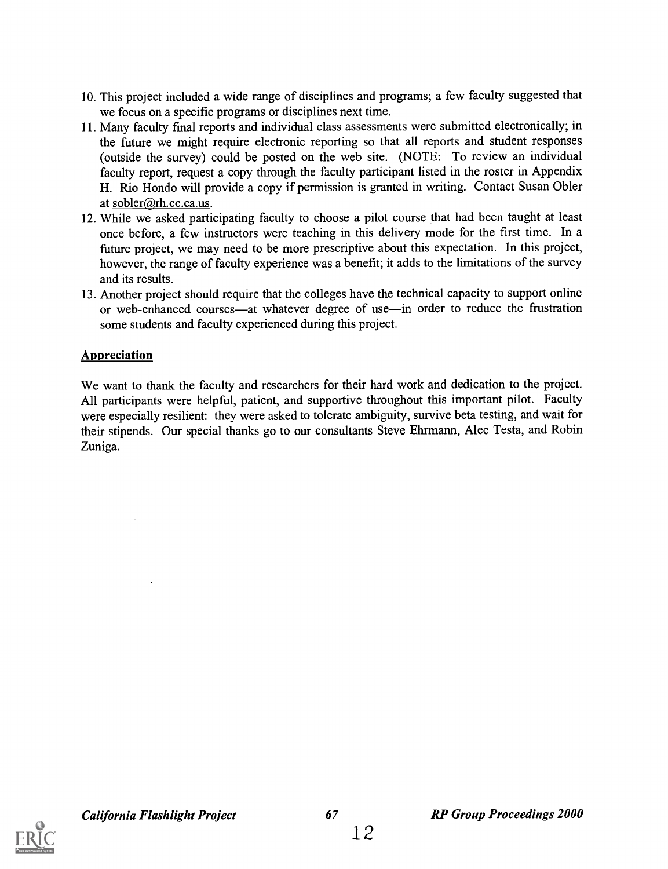- 10. This project included a wide range of disciplines and programs; a few faculty suggested that we focus on a specific programs or disciplines next time.
- 11. Many faculty fmal reports and individual class assessments were submitted electronically; in the future we might require electronic reporting so that all reports and student responses (outside the survey) could be posted on the web site. (NOTE: To review an individual faculty report, request a copy through the faculty participant listed in the roster in Appendix H. Rio Hondo will provide a copy if permission is granted in writing. Contact Susan Obler at sobler $@$ rh. cc. ca. us.
- 12. While we asked participating faculty to choose a pilot course that had been taught at least once before, a few instructors were teaching in this delivery mode for the first time. In a future project, we may need to be more prescriptive about this expectation. In this project, however, the range of faculty experience was a benefit; it adds to the limitations of the survey and its results.
- 13. Another project should require that the colleges have the technical capacity to support online or web-enhanced courses—at whatever degree of use—in order to reduce the frustration some students and faculty experienced during this project.

#### Appreciation

We want to thank the faculty and researchers for their hard work and dedication to the project. All participants were helpful, patient, and supportive throughout this important pilot. Faculty were especially resilient: they were asked to tolerate ambiguity, survive beta testing, and wait for their stipends. Our special thanks go to our consultants Steve Ehrmann, Alec Testa, and Robin Zuniga.

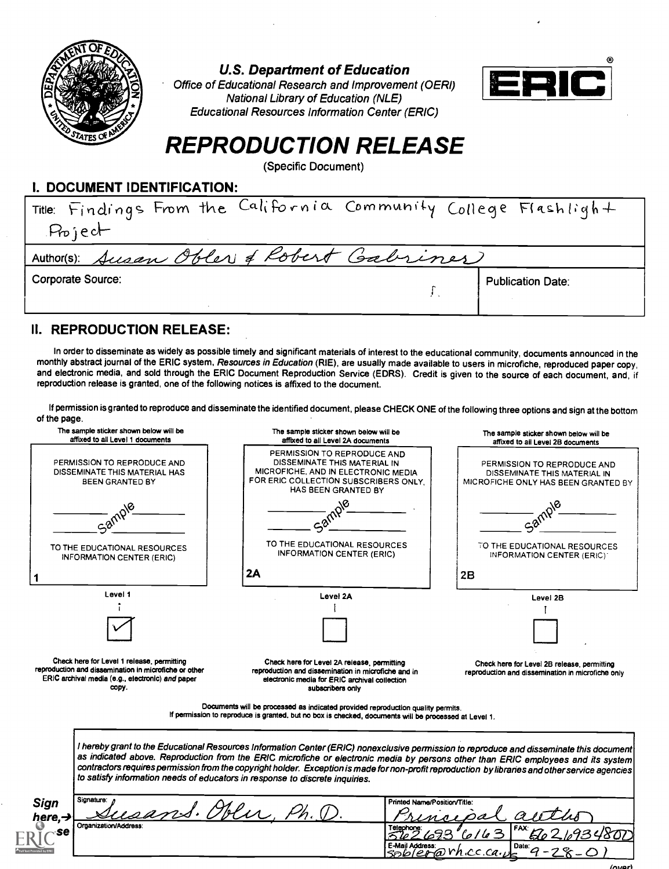

U.S. Department of Education

Office of Educational Research and Improvement (OERI) National Library of Education (NLE) Educational Resources Information Center (ERIC)



# REPRODUCTION RELEASE

(Specific Document)

#### I. DOCUMENT IDENTIFICATION:

| Title: Findings From the California Community College Flashlight<br>Project |                          |
|-----------------------------------------------------------------------------|--------------------------|
| Author(s): Susan Obles & Robert Gabriner                                    |                          |
| <b>Corporate Source:</b>                                                    | <b>Publication Date:</b> |

#### II. REPRODUCTION RELEASE:

In order to disseminate as widely as possible timely and significant materials of interest to the educational community, documents announced in the monthly abstract journal of the ERIC system, Resources in Education (RIE), are usually made available to users in microfiche, reproduced paper copy, and electronic media, and sold through the ERIC Document Reproduction Service (EDRS). Credit is given to the source of each document, and, if reproduction release is granted, one of the following notices is affixed to the document.

If permission is granted to reproduce and disseminate the identified document, please CHECK ONE of the following three options and sign at the bottom of the page.

| The sample sticker shown below will be<br>affixed to all Level 1 documents                                                                                       | The sample sticker shown below will be<br>affixed to all Level 2A documents                                                                                                                                                                                                                                                                                                                                                                                                                                       | The sample sticker shown below will be<br>affixed to all Level 2B documents                        |
|------------------------------------------------------------------------------------------------------------------------------------------------------------------|-------------------------------------------------------------------------------------------------------------------------------------------------------------------------------------------------------------------------------------------------------------------------------------------------------------------------------------------------------------------------------------------------------------------------------------------------------------------------------------------------------------------|----------------------------------------------------------------------------------------------------|
| PERMISSION TO REPRODUCE AND<br>DISSEMINATE THIS MATERIAL HAS<br><b>BEEN GRANTED BY</b>                                                                           | PERMISSION TO REPRODUCE AND<br>DISSEMINATE THIS MATERIAL IN<br>MICROFICHE, AND IN ELECTRONIC MEDIA<br>FOR ERIC COLLECTION SUBSCRIBERS ONLY.<br>HAS BEEN GRANTED BY                                                                                                                                                                                                                                                                                                                                                | PERMISSION TO REPRODUCE AND<br>DISSEMINATE THIS MATERIAL IN<br>MICROFICHE ONLY HAS BEEN GRANTED BY |
|                                                                                                                                                                  |                                                                                                                                                                                                                                                                                                                                                                                                                                                                                                                   |                                                                                                    |
| TO THE EDUCATIONAL RESOURCES<br><b>INFORMATION CENTER (ERIC)</b>                                                                                                 | TO THE EDUCATIONAL RESOURCES<br><b>INFORMATION CENTER (ERIC)</b>                                                                                                                                                                                                                                                                                                                                                                                                                                                  | TO THE EDUCATIONAL RESOURCES<br>INFORMATION CENTER (ERIC):                                         |
|                                                                                                                                                                  | 2A                                                                                                                                                                                                                                                                                                                                                                                                                                                                                                                | 2B                                                                                                 |
| Level 1                                                                                                                                                          | Level 2A                                                                                                                                                                                                                                                                                                                                                                                                                                                                                                          | Level 2B                                                                                           |
|                                                                                                                                                                  |                                                                                                                                                                                                                                                                                                                                                                                                                                                                                                                   |                                                                                                    |
| Check here for Level 1 release, permitting<br>reproduction and dissemination in microfiche or other<br>ERIC archival media (e.g., electronic) and paper<br>copy. | Check here for Level 2A release, permitting<br>reproduction and dissemination in microfiche and in<br>electronic media for ERIC archival collection<br>subscribers only                                                                                                                                                                                                                                                                                                                                           | Check here for Level 2B release, permitting<br>reproduction and dissemination in microfiche only   |
|                                                                                                                                                                  | Documents will be processed as indicated provided reproduction quality permits.<br>If permission to reproduce is granted, but no box is checked, documents will be processed at Level 1.                                                                                                                                                                                                                                                                                                                          |                                                                                                    |
|                                                                                                                                                                  | I hereby grant to the Educational Resources Information Center (ERIC) nonexclusive permission to reproduce and disseminate this document<br>as indicated above. Reproduction from the ERIC microfiche or electronic media by persons other than ERIC employees and its system<br>contractors requires permission from the copyright holder. Exception is made for non-profit reproduction by libraries and other service agencies<br>to satisfy information needs of educators in response to discrete inquiries. |                                                                                                    |
| Signature:<br><b>Sign</b>                                                                                                                                        | Printed Name/Position/Title:<br>S. Molas, F                                                                                                                                                                                                                                                                                                                                                                                                                                                                       |                                                                                                    |
| here, $\rightarrow$<br>Organization/Address:                                                                                                                     |                                                                                                                                                                                                                                                                                                                                                                                                                                                                                                                   |                                                                                                    |